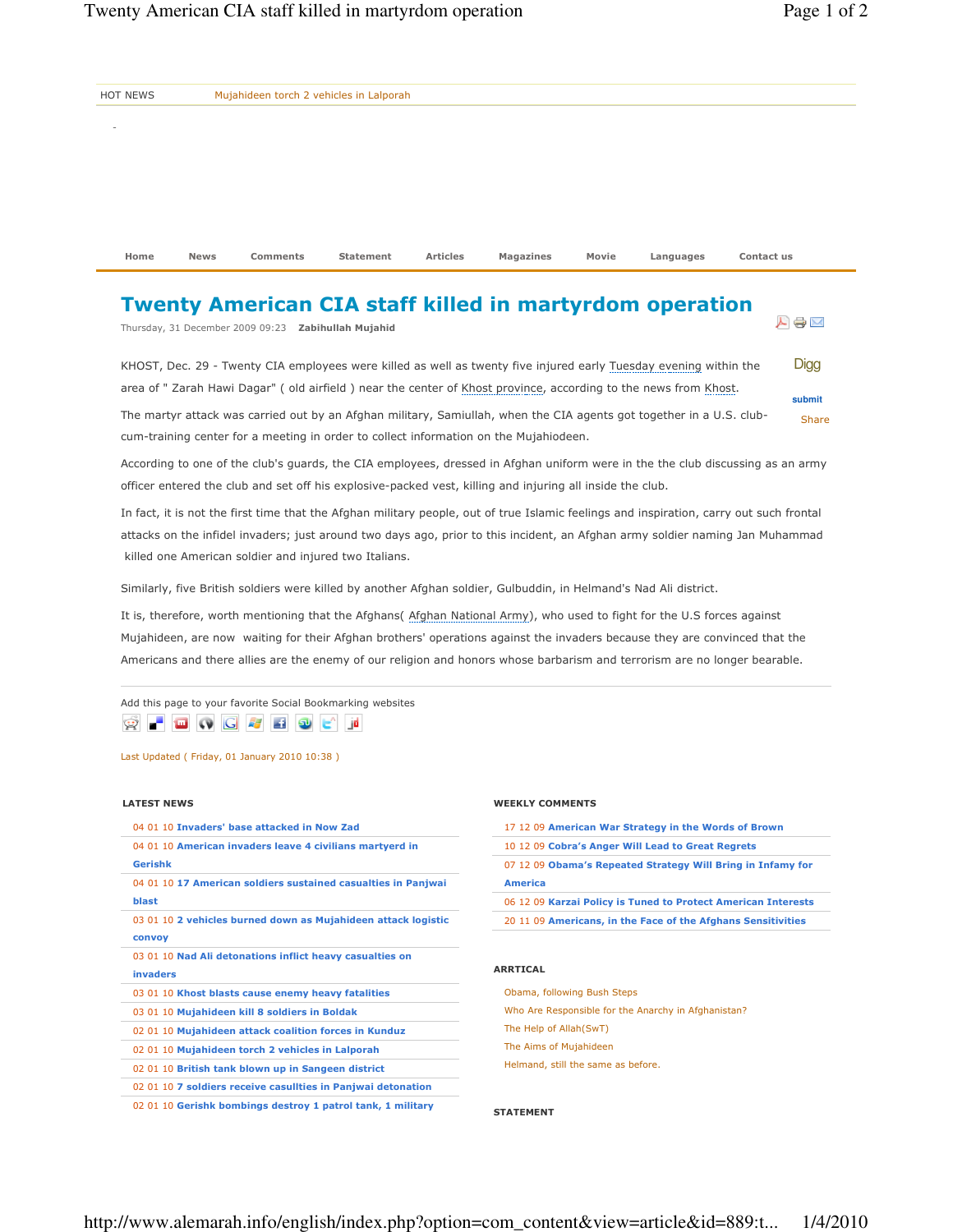

| KHOST, Dec. 29 - Twenty CIA employees were killed as well as twenty five injured early Tuesday evening within the    | <b>Digg</b> |
|----------------------------------------------------------------------------------------------------------------------|-------------|
| area of " Zarah Hawi Dagar" (old airfield) near the center of Khost province, according to the news from Khost.      | submit      |
| The martyr attack was carried out by an Afghan military, Samiullah, when the CIA agents got together in a U.S. club- | Share       |
| cum-training center for a meeting in order to collect information on the Mujahiodeen.                                |             |

According to one of the club's guards, the CIA employees, dressed in Afghan uniform were in the the club discussing as an army officer entered the club and set off his explosive-packed vest, killing and injuring all inside the club.

In fact, it is not the first time that the Afghan military people, out of true Islamic feelings and inspiration, carry out such frontal attacks on the infidel invaders; just around two days ago, prior to this incident, an Afghan army soldier naming Jan Muhammad killed one American soldier and injured two Italians.

Similarly, five British soldiers were killed by another Afghan soldier, Gulbuddin, in Helmand's Nad Ali district.

It is, therefore, worth mentioning that the Afghans( Afghan National Army), who used to fight for the U.S forces against Mujahideen, are now waiting for their Afghan brothers' operations against the invaders because they are convinced that the Americans and there allies are the enemy of our religion and honors whose barbarism and terrorism are no longer bearable.

Add this page to your favorite Social Bookmarking websites  $|\mathcal{Q}| = |\mathbf{w}| |\mathbf{Q}| |\mathbf{G}|$  and  $|\mathbf{H}| |\mathbf{S}| |\mathbf{C}| |\mathbf{M}|$ 

Last Updated ( Friday, 01 January 2010 10:38 )

## LATEST NEWS

| 04.01.10 Invaders' hase attacked in Now Zad                   |
|---------------------------------------------------------------|
| 04 01 10 American invaders leave 4 civilians martyerd in      |
| <b>Gerishk</b>                                                |
| 04 01 10 17 American soldiers sustained casualties in Panjwai |
| blast                                                         |
| 03 01 10 2 vehicles burned down as Mujahideen attack logistic |
| convoy                                                        |
| 03 01 10 Nad Ali detonations inflict heavy casualties on      |
| invaders                                                      |
|                                                               |
| 03 01 10 Khost blasts cause enemy heavy fatalities            |
| 03 01 10 Mujahideen kill 8 soldiers in Boldak                 |
| 02 01 10 Mujahideen attack coalition forces in Kunduz         |
| 02 01 10 Mujahideen torch 2 vehicles in Lalporah              |
| 02 01 10 British tank blown up in Sangeen district            |
| 02 01 10 7 soldiers receive casullties in Panjwai detonation  |

## WEEKLY COMMENTS

## ARRTICAL

Obama, following Bush Steps Who Are Responsible for the Anarchy in Afghanistan?

The Help of Allah(SwT)

The Aims of Mujahideen

Helmand, still the same as before.

## STATEMENT